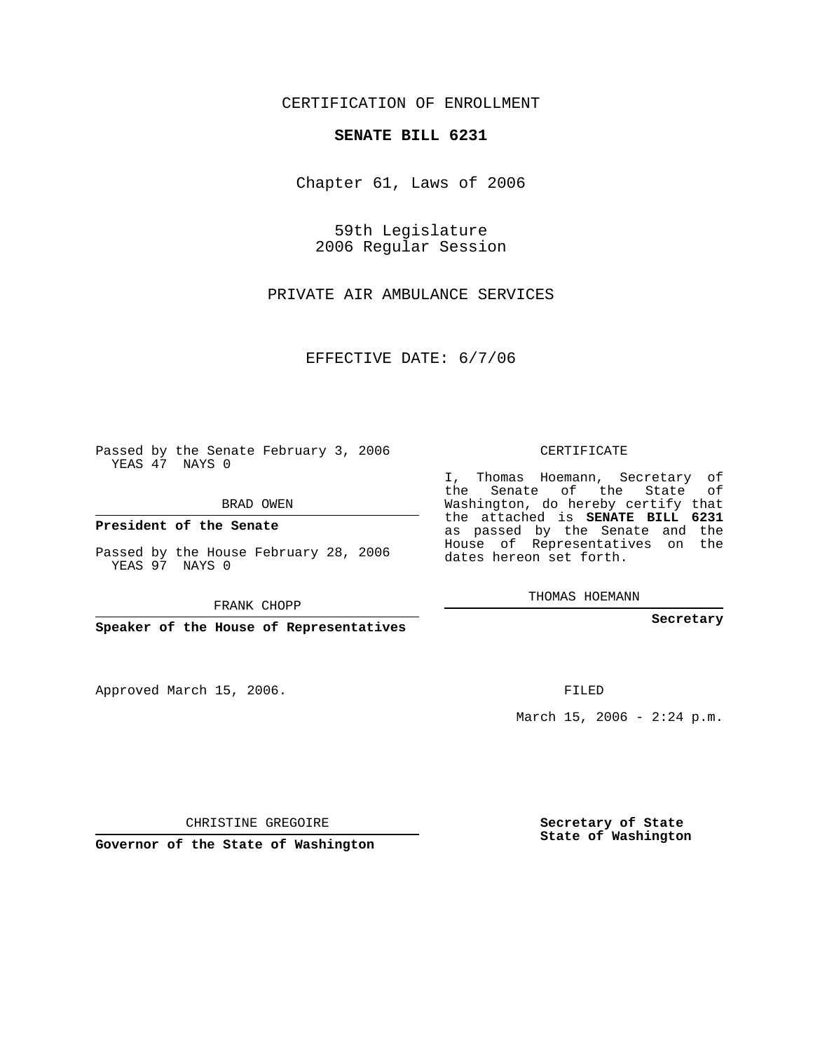CERTIFICATION OF ENROLLMENT

## **SENATE BILL 6231**

Chapter 61, Laws of 2006

59th Legislature 2006 Regular Session

PRIVATE AIR AMBULANCE SERVICES

EFFECTIVE DATE: 6/7/06

Passed by the Senate February 3, 2006 YEAS 47 NAYS 0

BRAD OWEN

**President of the Senate**

Passed by the House February 28, 2006 YEAS 97 NAYS 0

FRANK CHOPP

**Speaker of the House of Representatives**

Approved March 15, 2006.

CERTIFICATE

I, Thomas Hoemann, Secretary of the Senate of the State of Washington, do hereby certify that the attached is **SENATE BILL 6231** as passed by the Senate and the House of Representatives on the dates hereon set forth.

THOMAS HOEMANN

**Secretary**

FILED

March 15, 2006 -  $2:24$  p.m.

CHRISTINE GREGOIRE

**Governor of the State of Washington**

**Secretary of State State of Washington**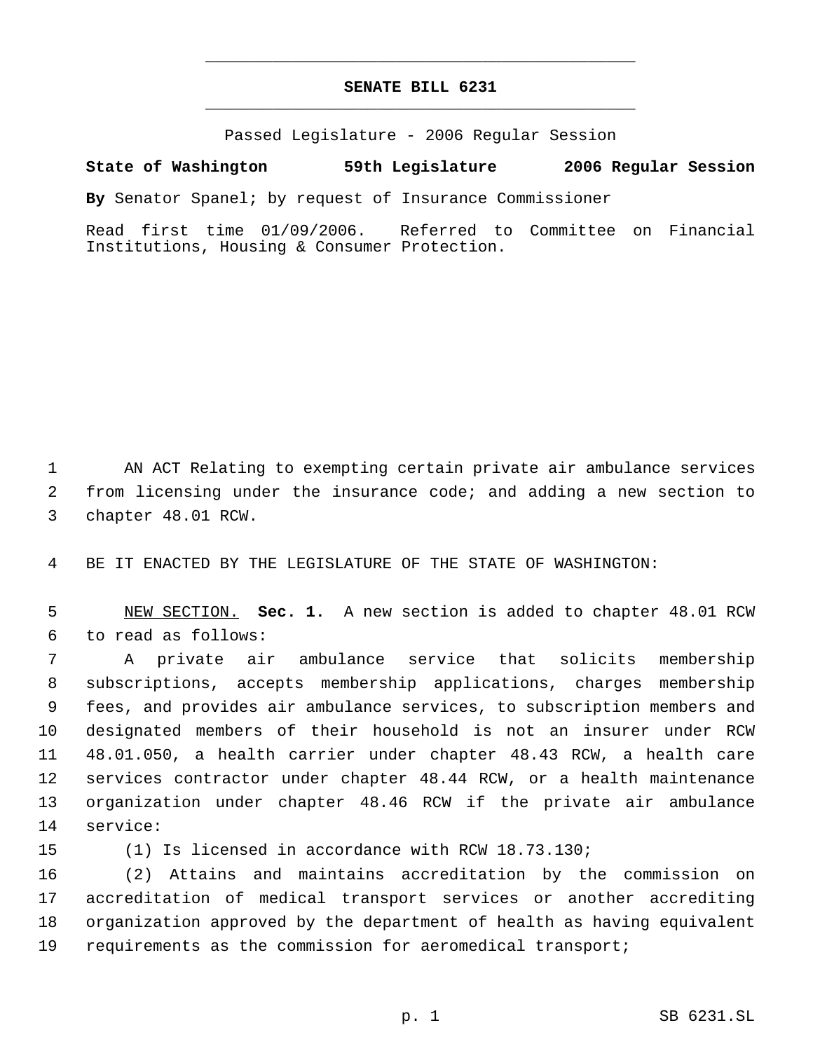## **SENATE BILL 6231** \_\_\_\_\_\_\_\_\_\_\_\_\_\_\_\_\_\_\_\_\_\_\_\_\_\_\_\_\_\_\_\_\_\_\_\_\_\_\_\_\_\_\_\_\_

\_\_\_\_\_\_\_\_\_\_\_\_\_\_\_\_\_\_\_\_\_\_\_\_\_\_\_\_\_\_\_\_\_\_\_\_\_\_\_\_\_\_\_\_\_

Passed Legislature - 2006 Regular Session

## **State of Washington 59th Legislature 2006 Regular Session**

**By** Senator Spanel; by request of Insurance Commissioner

Read first time 01/09/2006. Referred to Committee on Financial Institutions, Housing & Consumer Protection.

 AN ACT Relating to exempting certain private air ambulance services from licensing under the insurance code; and adding a new section to chapter 48.01 RCW.

BE IT ENACTED BY THE LEGISLATURE OF THE STATE OF WASHINGTON:

 NEW SECTION. **Sec. 1.** A new section is added to chapter 48.01 RCW to read as follows:

 A private air ambulance service that solicits membership subscriptions, accepts membership applications, charges membership fees, and provides air ambulance services, to subscription members and designated members of their household is not an insurer under RCW 48.01.050, a health carrier under chapter 48.43 RCW, a health care services contractor under chapter 48.44 RCW, or a health maintenance organization under chapter 48.46 RCW if the private air ambulance service:

(1) Is licensed in accordance with RCW 18.73.130;

 (2) Attains and maintains accreditation by the commission on accreditation of medical transport services or another accrediting organization approved by the department of health as having equivalent requirements as the commission for aeromedical transport;